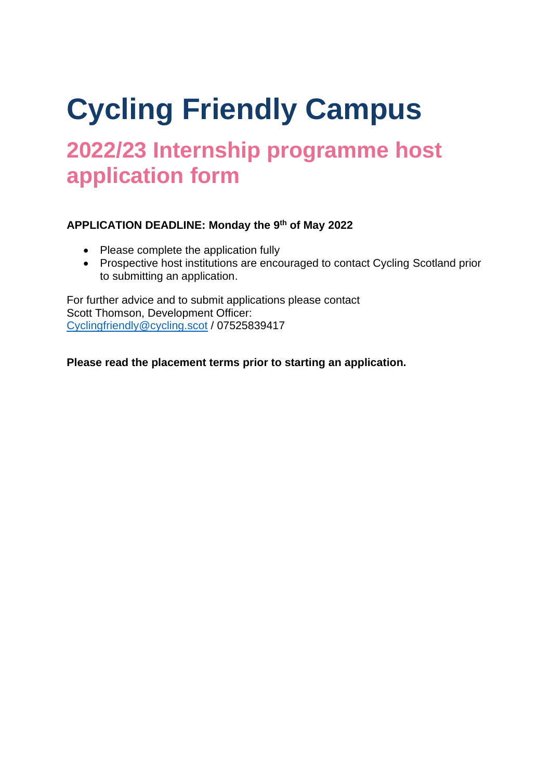# **Cycling Friendly Campus**

## **2022/23 Internship programme host application form**

#### **APPLICATION DEADLINE: Monday the 9 th of May 2022**

- Please complete the application fully
- Prospective host institutions are encouraged to contact Cycling Scotland prior to submitting an application.

For further advice and to submit applications please contact Scott Thomson, Development Officer: [Cyclingfriendly@cycling.scot](mailto:Cyclingfriendly@cycling.scot) / 07525839417

**Please read the placement terms prior to starting an application.**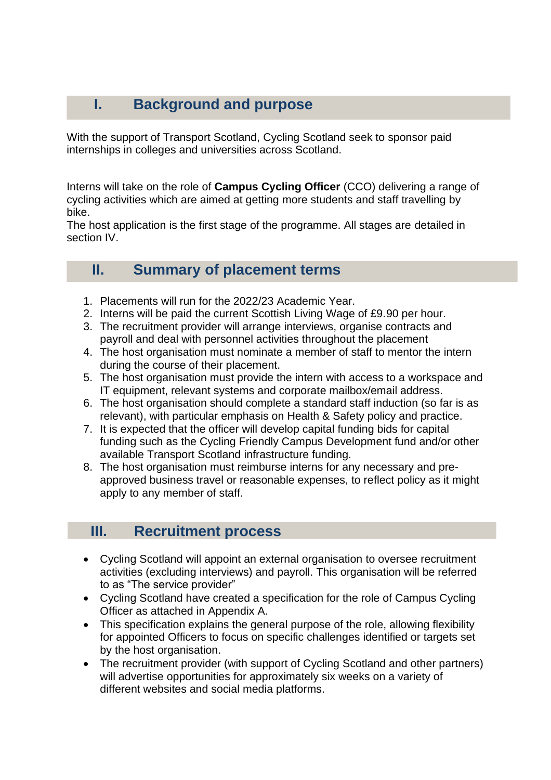## **I. Background and purpose**

With the support of Transport Scotland, Cycling Scotland seek to sponsor paid internships in colleges and universities across Scotland.

Interns will take on the role of **Campus Cycling Officer** (CCO) delivering a range of cycling activities which are aimed at getting more students and staff travelling by bike.

The host application is the first stage of the programme. All stages are detailed in section IV.

### **II. Summary of placement terms**

- 1. Placements will run for the 2022/23 Academic Year.
- 2. Interns will be paid the current Scottish Living Wage of £9.90 per hour.
- 3. The recruitment provider will arrange interviews, organise contracts and payroll and deal with personnel activities throughout the placement
- 4. The host organisation must nominate a member of staff to mentor the intern during the course of their placement.
- 5. The host organisation must provide the intern with access to a workspace and IT equipment, relevant systems and corporate mailbox/email address.
- 6. The host organisation should complete a standard staff induction (so far is as relevant), with particular emphasis on Health & Safety policy and practice.
- 7. It is expected that the officer will develop capital funding bids for capital funding such as the Cycling Friendly Campus Development fund and/or other available Transport Scotland infrastructure funding.
- 8. The host organisation must reimburse interns for any necessary and preapproved business travel or reasonable expenses, to reflect policy as it might apply to any member of staff.

## **III. Recruitment process**

- Cycling Scotland will appoint an external organisation to oversee recruitment activities (excluding interviews) and payroll. This organisation will be referred to as "The service provider"
- Cycling Scotland have created a specification for the role of Campus Cycling Officer as attached in Appendix A.
- This specification explains the general purpose of the role, allowing flexibility for appointed Officers to focus on specific challenges identified or targets set by the host organisation.
- The recruitment provider (with support of Cycling Scotland and other partners) will advertise opportunities for approximately six weeks on a variety of different websites and social media platforms.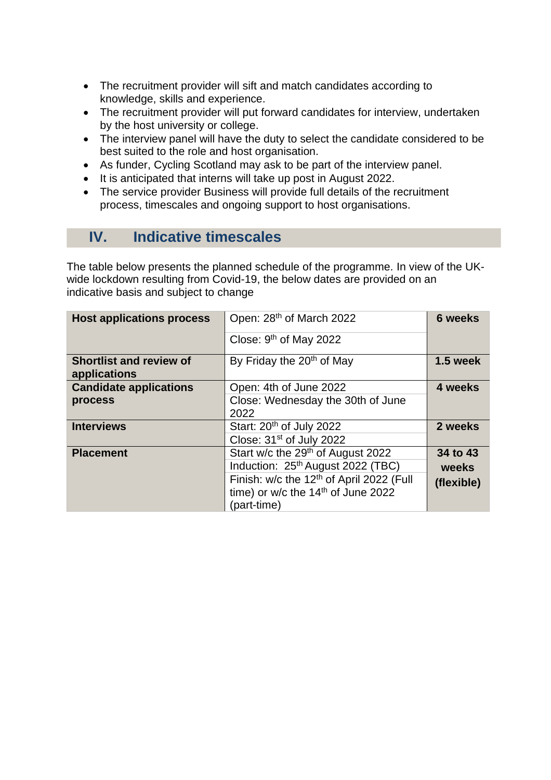- The recruitment provider will sift and match candidates according to knowledge, skills and experience.
- The recruitment provider will put forward candidates for interview, undertaken by the host university or college.
- The interview panel will have the duty to select the candidate considered to be best suited to the role and host organisation.
- As funder, Cycling Scotland may ask to be part of the interview panel.
- It is anticipated that interns will take up post in August 2022.
- The service provider Business will provide full details of the recruitment process, timescales and ongoing support to host organisations.

## **IV. Indicative timescales**

The table below presents the planned schedule of the programme. In view of the UKwide lockdown resulting from Covid-19, the below dates are provided on an indicative basis and subject to change

| <b>Host applications process</b>               | Open: 28 <sup>th</sup> of March 2022                 | <b>6 weeks</b> |
|------------------------------------------------|------------------------------------------------------|----------------|
|                                                | Close: $9th$ of May 2022                             |                |
| <b>Shortlist and review of</b><br>applications | By Friday the 20 <sup>th</sup> of May                | 1.5 week       |
| <b>Candidate applications</b>                  | Open: 4th of June 2022                               | 4 weeks        |
| process                                        | Close: Wednesday the 30th of June                    |                |
|                                                | 2022                                                 |                |
| <b>Interviews</b>                              | Start: 20 <sup>th</sup> of July 2022                 | 2 weeks        |
|                                                | Close: 31 <sup>st</sup> of July 2022                 |                |
| <b>Placement</b>                               | Start w/c the 29 <sup>th</sup> of August 2022        | 34 to 43       |
|                                                | Induction: 25 <sup>th</sup> August 2022 (TBC)        | weeks          |
|                                                | Finish: w/c the 12 <sup>th</sup> of April 2022 (Full | (flexible)     |
|                                                | time) or w/c the 14 <sup>th</sup> of June 2022       |                |
|                                                | (part-time)                                          |                |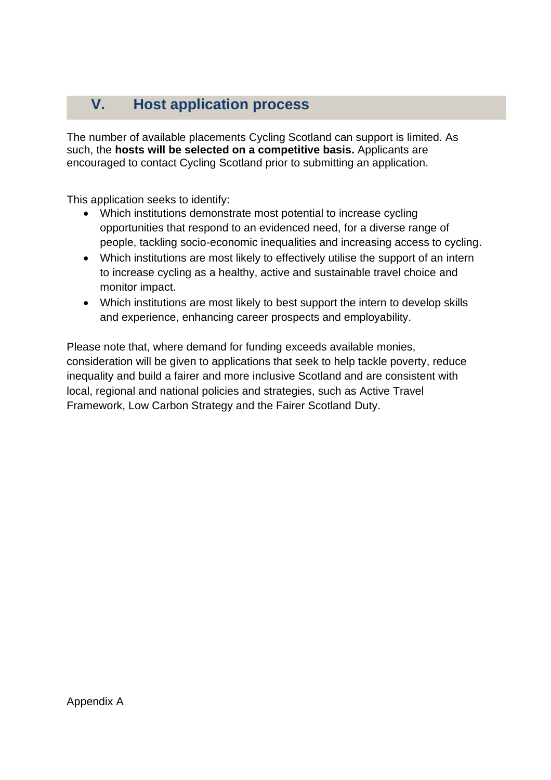## **V. Host application process**

The number of available placements Cycling Scotland can support is limited. As such, the **hosts will be selected on a competitive basis.** Applicants are encouraged to contact Cycling Scotland prior to submitting an application.

This application seeks to identify:

- Which institutions demonstrate most potential to increase cycling opportunities that respond to an evidenced need, for a diverse range of people, tackling socio-economic inequalities and increasing access to cycling.
- Which institutions are most likely to effectively utilise the support of an intern to increase cycling as a healthy, active and sustainable travel choice and monitor impact.
- Which institutions are most likely to best support the intern to develop skills and experience, enhancing career prospects and employability.

Please note that, where demand for funding exceeds available monies, consideration will be given to applications that seek to help tackle poverty, reduce inequality and build a fairer and more inclusive Scotland and are consistent with local, regional and national policies and strategies, such as Active Travel Framework, Low Carbon Strategy and the Fairer Scotland Duty.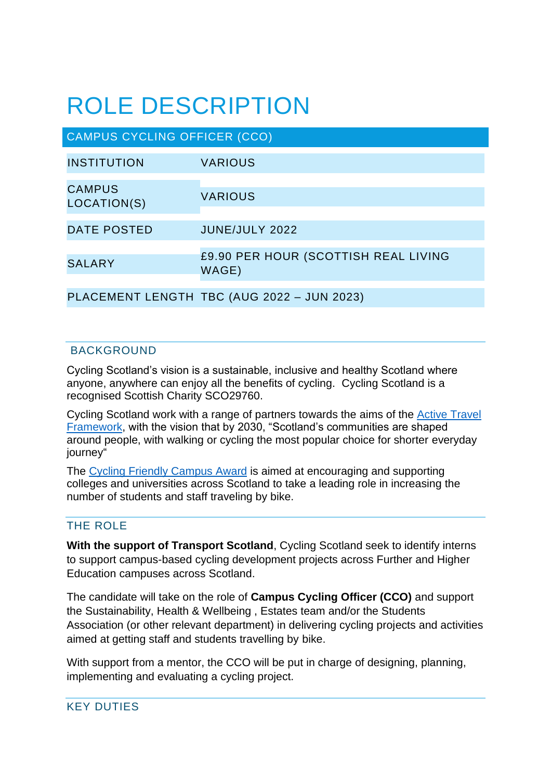## ROLE DESCRIPTION

| <b>CAMPUS CYCLING OFFICER (CCO)</b> |                                               |  |
|-------------------------------------|-----------------------------------------------|--|
| <b>INSTITUTION</b>                  | <b>VARIOUS</b>                                |  |
| <b>CAMPUS</b><br>LOCATION(S)        | <b>VARIOUS</b>                                |  |
| <b>DATE POSTED</b>                  | JUNE/JULY 2022                                |  |
| <b>SALARY</b>                       | £9.90 PER HOUR (SCOTTISH REAL LIVING<br>WAGE) |  |
|                                     | PLACEMENT LENGTH TBC (AUG 2022 - JUN 2023)    |  |

#### BACKGROUND

Cycling Scotland's vision is a sustainable, inclusive and healthy Scotland where anyone, anywhere can enjoy all the benefits of cycling. Cycling Scotland is a recognised Scottish Charity SCO29760.

Cycling Scotland work with a range of partners towards the aims of the [Active Travel](https://www.transport.gov.scot/media/47158/sct09190900361.pdf)  [Framework,](https://www.transport.gov.scot/media/47158/sct09190900361.pdf) with the vision that by 2030, "Scotland's communities are shaped around people, with walking or cycling the most popular choice for shorter everyday journey"

The Cycling [Friendly Campus Award](http://www.cyclingscotland.org/wp-content/uploads/2014/08/2796-CF_Campus-Handbook-FINAL-lowres.pdf) is aimed at encouraging and supporting colleges and universities across Scotland to take a leading role in increasing the number of students and staff traveling by bike.

#### THE ROLE

**With the support of Transport Scotland**, Cycling Scotland seek to identify interns to support campus-based cycling development projects across Further and Higher Education campuses across Scotland.

The candidate will take on the role of **Campus Cycling Officer (CCO)** and support the Sustainability, Health & Wellbeing , Estates team and/or the Students Association (or other relevant department) in delivering cycling projects and activities aimed at getting staff and students travelling by bike.

With support from a mentor, the CCO will be put in charge of designing, planning, implementing and evaluating a cycling project.

#### KEY DUTIES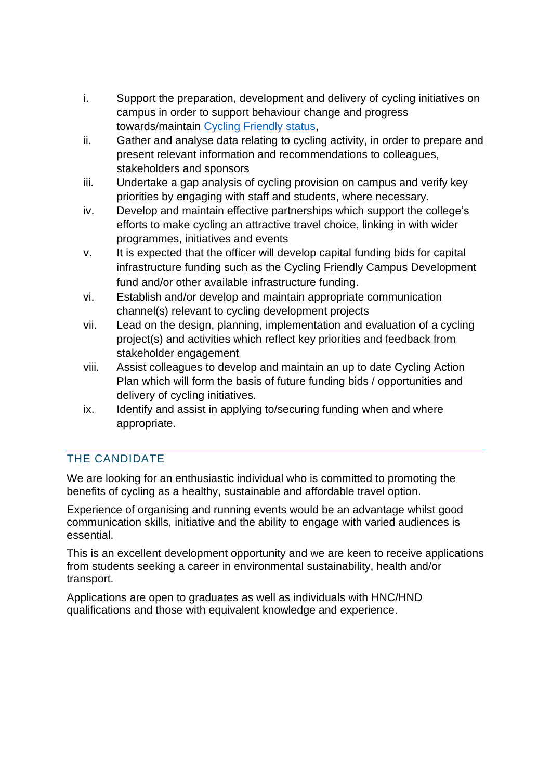- i. Support the preparation, development and delivery of cycling initiatives on campus in order to support behaviour change and progress towards/maintain Cycling [Friendly status,](https://www.cycling.scot/our-programmes/cycle-friendly/campus)
- ii. Gather and analyse data relating to cycling activity, in order to prepare and present relevant information and recommendations to colleagues, stakeholders and sponsors
- iii. Undertake a gap analysis of cycling provision on campus and verify key priorities by engaging with staff and students, where necessary.
- iv. Develop and maintain effective partnerships which support the college's efforts to make cycling an attractive travel choice, linking in with wider programmes, initiatives and events
- v. It is expected that the officer will develop capital funding bids for capital infrastructure funding such as the Cycling Friendly Campus Development fund and/or other available infrastructure funding.
- vi. Establish and/or develop and maintain appropriate communication channel(s) relevant to cycling development projects
- vii. Lead on the design, planning, implementation and evaluation of a cycling project(s) and activities which reflect key priorities and feedback from stakeholder engagement
- viii. Assist colleagues to develop and maintain an up to date Cycling Action Plan which will form the basis of future funding bids / opportunities and delivery of cycling initiatives.
- ix. Identify and assist in applying to/securing funding when and where appropriate.

### THE CANDIDATE

We are looking for an enthusiastic individual who is committed to promoting the benefits of cycling as a healthy, sustainable and affordable travel option.

Experience of organising and running events would be an advantage whilst good communication skills, initiative and the ability to engage with varied audiences is essential.

This is an excellent development opportunity and we are keen to receive applications from students seeking a career in environmental sustainability, health and/or transport.

Applications are open to graduates as well as individuals with HNC/HND qualifications and those with equivalent knowledge and experience.